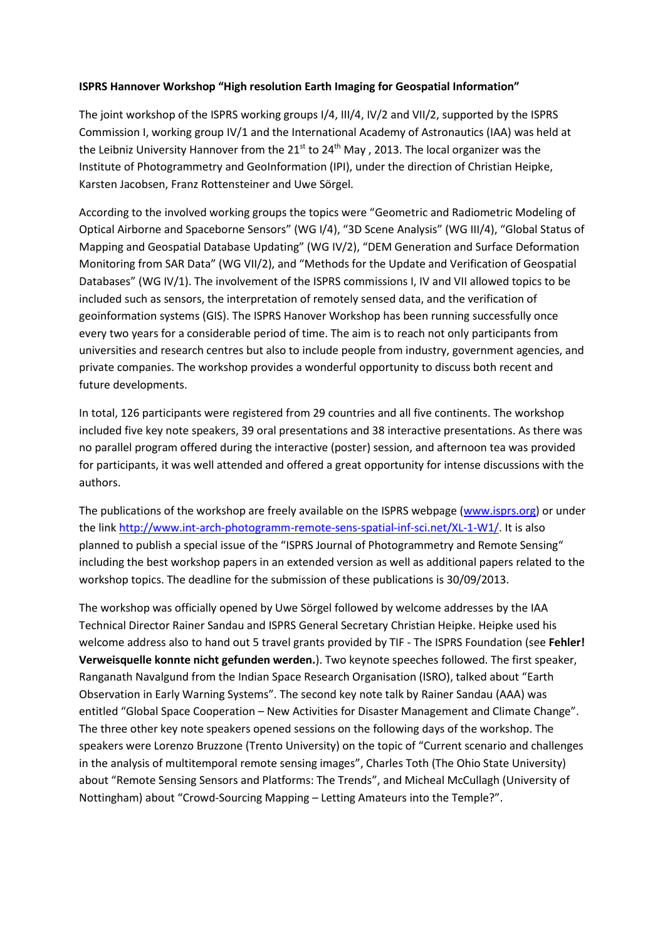## **ISPRS Hannover Workshop "High resolution Earth Imaging for Geospatial Information"**

The joint workshop of the ISPRS working groups I/4, III/4, IV/2 and VII/2, supported by the ISPRS Commission I, working group IV/1 and the International Academy of Astronautics (IAA) was held at the Leibniz University Hannover from the 21st to 24<sup>th</sup> May, 2013. The local organizer was the Institute of Photogrammetry and GeoInformation (IPI), under the direction of Christian Heipke, Karsten Jacobsen, Franz Rottensteiner and Uwe Sörgel.

According to the involved working groups the topics were "Geometric and Radiometric Modeling of Optical Airborne and Spaceborne Sensors" (WG I/4), "3D Scene Analysis" (WG III/4), "Global Status of Mapping and Geospatial Database Updating" (WG IV/2), "DEM Generation and Surface Deformation Monitoring from SAR Data" (WG VII/2), and "Methods for the Update and Verification of Geospatial Databases" (WG IV/1). The involvement of the ISPRS commissions I, IV and VII allowed topics to be included such as sensors, the interpretation of remotely sensed data, and the verification of geoinformation systems (GIS). The ISPRS Hanover Workshop has been running successfully once every two years for a considerable period of time. The aim is to reach not only participants from universities and research centres but also to include people from industry, government agencies, and private companies. The workshop provides a wonderful opportunity to discuss both recent and future developments.

In total, 126 participants were registered from 29 countries and all five continents. The workshop included five key note speakers, 39 oral presentations and 38 interactive presentations. As there was no parallel program offered during the interactive (poster) session, and afternoon tea was provided for participants, it was well attended and offered a great opportunity for intense discussions with the authors.

The publications of the workshop are freely available on the ISPRS webpage [\(www.isprs.org\)](http://www.isprs.org/) or under the lin[k http://www.int-arch-photogramm-remote-sens-spatial-inf-sci.net/XL-1-W1/.](http://www.int-arch-photogramm-remote-sens-spatial-inf-sci.net/XL-1-W1/) It is also planned to publish a special issue of the "ISPRS Journal of Photogrammetry and Remote Sensing" including the best workshop papers in an extended version as well as additional papers related to the workshop topics. The deadline for the submission of these publications is 30/09/2013.

The workshop was officially opened by Uwe Sörgel followed by welcome addresses by the IAA Technical Director Rainer Sandau and ISPRS General Secretary Christian Heipke. Heipke used his welcome address also to hand out 5 travel grants provided by TIF - The ISPRS Foundation (see **Fehler! Verweisquelle konnte nicht gefunden werden.**). Two keynote speeches followed. The first speaker, Ranganath Navalgund from the Indian Space Research Organisation (ISRO), talked about "Earth Observation in Early Warning Systems". The second key note talk by Rainer Sandau (AAA) was entitled "Global Space Cooperation – New Activities for Disaster Management and Climate Change". The three other key note speakers opened sessions on the following days of the workshop. The speakers were Lorenzo Bruzzone (Trento University) on the topic of "Current scenario and challenges in the analysis of multitemporal remote sensing images", Charles Toth (The Ohio State University) about "Remote Sensing Sensors and Platforms: The Trends", and Micheal McCullagh (University of Nottingham) about "Crowd-Sourcing Mapping – Letting Amateurs into the Temple?".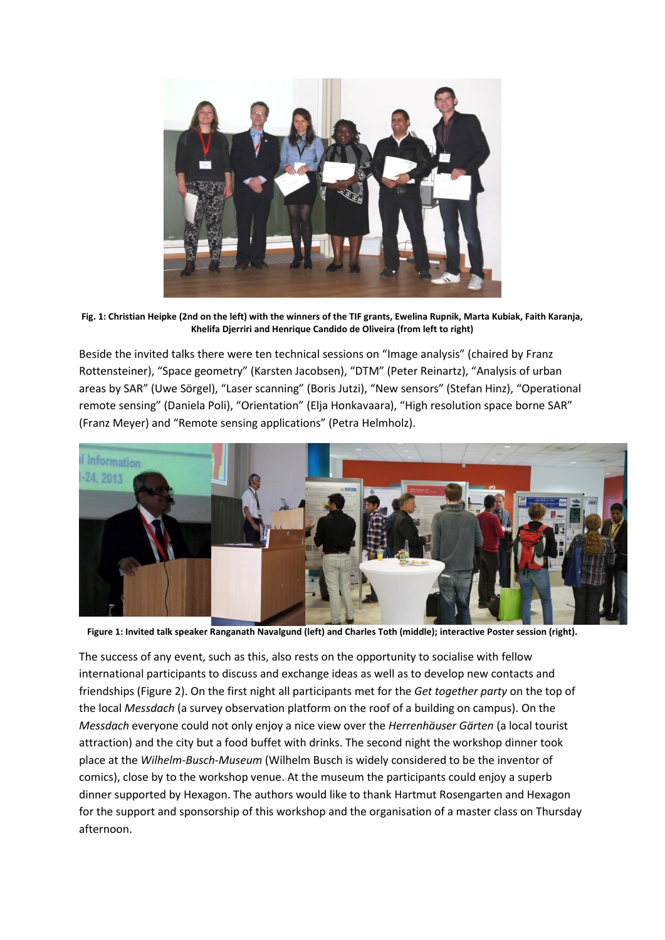

**Fig. 1: Christian Heipke (2nd on the left) with the winners of the TIF grants, Ewelina Rupnik, Marta Kubiak, Faith Karanja, Khelifa Djerriri and Henrique Candido de Oliveira (from left to right)**

Beside the invited talks there were ten technical sessions on "Image analysis" (chaired by Franz Rottensteiner), "Space geometry" (Karsten Jacobsen), "DTM" (Peter Reinartz), "Analysis of urban areas by SAR" (Uwe Sörgel), "Laser scanning" (Boris Jutzi), "New sensors" (Stefan Hinz), "Operational remote sensing" (Daniela Poli), "Orientation" (Elja Honkavaara), "High resolution space borne SAR" (Franz Meyer) and "Remote sensing applications" (Petra Helmholz).



**Figure 1: Invited talk speaker Ranganath Navalgund (left) and Charles Toth (middle); interactive Poster session (right).**

The success of any event, such as this, also rests on the opportunity to socialise with fellow international participants to discuss and exchange ideas as well as to develop new contacts and friendships [\(Figure 2\)](#page-2-0). On the first night all participants met for the *Get together party* on the top of the local *Messdach* (a survey observation platform on the roof of a building on campus). On the *Messdach* everyone could not only enjoy a nice view over the *Herrenhäuser Gärten* (a local tourist attraction) and the city but a food buffet with drinks. The second night the workshop dinner took place at the *Wilhelm-Busch-Museum* (Wilhelm Busch is widely considered to be the inventor of comics), close by to the workshop venue. At the museum the participants could enjoy a superb dinner supported by Hexagon. The authors would like to thank Hartmut Rosengarten and Hexagon for the support and sponsorship of this workshop and the organisation of a master class on Thursday afternoon.